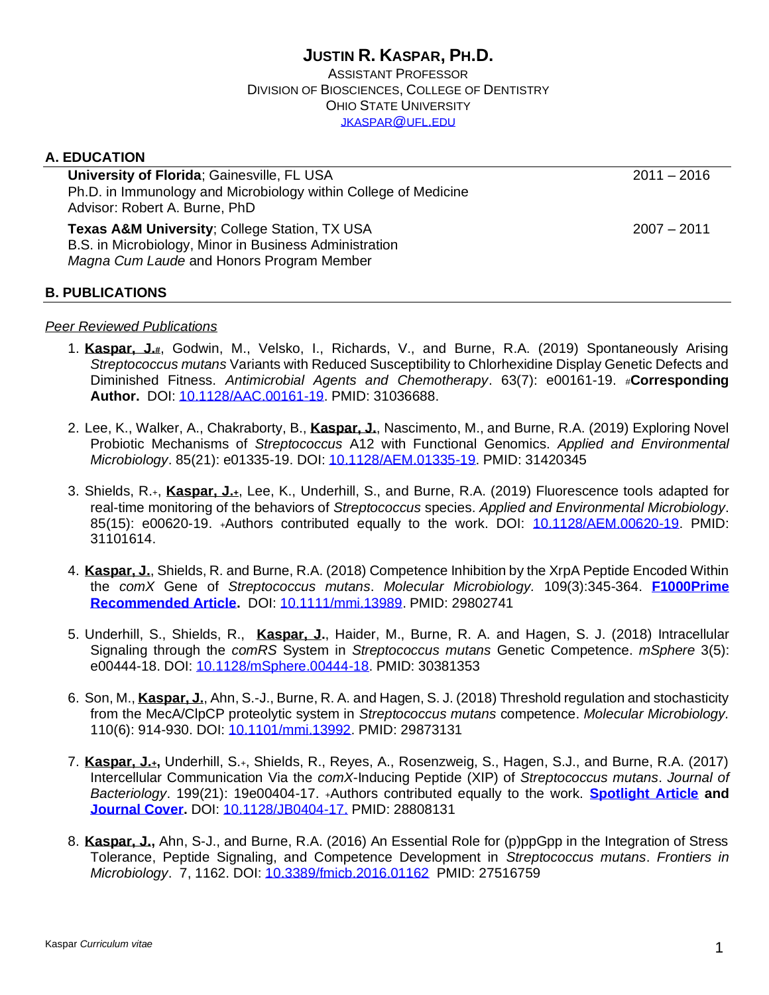#### **JUSTIN R. KASPAR, PH.D.** ASSISTANT PROFESSOR DIVISION OF BIOSCIENCES, COLLEGE OF DENTISTRY OHIO STATE UNIVERSITY [JKASPAR](mailto:jkaspar@ufl.edum)@UFL.EDU

# **A. EDUCATION University of Florida**: Gainesville, FL USA 2011 – 2016 Ph.D. in Immunology and Microbiology within College of Medicine Advisor: Robert A. Burne, PhD **Texas A&M University**; College Station, TX USA 2007 2011 B.S. in Microbiology, Minor in Business Administration *Magna Cum Laude* and Honors Program Member

#### **B. PUBLICATIONS**

#### *Peer Reviewed Publications*

- 1. **Kaspar, J.#**, Godwin, M., Velsko, I., Richards, V., and Burne, R.A. (2019) Spontaneously Arising *Streptococcus mutans* Variants with Reduced Susceptibility to Chlorhexidine Display Genetic Defects and Diminished Fitness. *Antimicrobial Agents and Chemotherapy*. 63(7): e00161-19. #**Corresponding Author.** DOI: [10.1128/AAC.00161-19.](https://aac.asm.org/content/early/2019/04/23/AAC.00161-19) PMID: 31036688.
- 2. Lee, K., Walker, A., Chakraborty, B., **Kaspar, J.**, Nascimento, M., and Burne, R.A. (2019) Exploring Novel Probiotic Mechanisms of *Streptococcus* A12 with Functional Genomics. *Applied and Environmental Microbiology*. 85(21): e01335-19. DOI: [10.1128/AEM.01335-19.](https://aem.asm.org/content/early/2019/08/12/AEM.01335-19) PMID: 31420345
- 3. Shields, R.+, **Kaspar, J.+**, Lee, K., Underhill, S., and Burne, R.A. (2019) Fluorescence tools adapted for real-time monitoring of the behaviors of *Streptococcus* species. *Applied and Environmental Microbiology*. 85(15): e00620-19. +Authors contributed equally to the work. DOI: [10.1128/AEM.00620-19.](https://aem.asm.org/content/early/2019/05/13/AEM.00620-19) PMID: 31101614.
- 4. **Kaspar, J.**, Shields, R. and Burne, R.A. (2018) Competence Inhibition by the XrpA Peptide Encoded Within the *comX* Gene of *Streptococcus mutans*. *Molecular Microbiology.* 109(3):345-364. **[F1000Prime](https://f1000.com/prime/733315365)  [Recommended Article.](https://f1000.com/prime/733315365)** DOI: [10.1111/mmi.13989.](https://onlinelibrary.wiley.com/doi/full/10.1111/mmi.13989) PMID: 29802741
- 5. Underhill, S., Shields, R., **Kaspar, J.**, Haider, M., Burne, R. A. and Hagen, S. J. (2018) Intracellular Signaling through the *comRS* System in *Streptococcus mutans* Genetic Competence. *mSphere* 3(5): e00444-18. DOI: [10.1128/mSphere.00444-18.](https://msphere.asm.org/content/3/5/e00444-18) PMID: 30381353
- 6. Son, M., **Kaspar, J.**, Ahn, S.-J., Burne, R. A. and Hagen, S. J. (2018) Threshold regulation and stochasticity from the MecA/ClpCP proteolytic system in *Streptococcus mutans* competence. *Molecular Microbiology.* 110(6): 914-930. DOI: [10.1101/mmi.13992.](https://onlinelibrary.wiley.com/doi/full/10.1111/mmi.13992) PMID: 29873131
- 7. **Kaspar, J.+,** Underhill, S.+, Shields, R., Reyes, A., Rosenzweig, S., Hagen, S.J., and Burne, R.A. (2017) Intercellular Communication Via the *comX*-Inducing Peptide (XIP) of *Streptococcus mutans*. *Journal of Bacteriology*. 199(21): 19e00404-17. +Authors contributed equally to the work. **[Spotlight Article](https://jb.asm.org/content/199/21/e00550-17) and [Journal Cover.](https://jb.asm.org/content/199/24.cover-expansion)** DOI: [10.1128/JB0404-17.](http://jb.asm.org/content/199/21/e00404-17.abstract) PMID: 28808131
- 8. **Kaspar, J.,** Ahn, S-J., and Burne, R.A. (2016) An Essential Role for (p)ppGpp in the Integration of Stress Tolerance, Peptide Signaling, and Competence Development in *Streptococcus mutans*. *Frontiers in Microbiology*. 7, 1162. DOI: [10.3389/fmicb.2016.01162](http://dx.doi.org/10.3389/fmicb.2016.01162) PMID: 27516759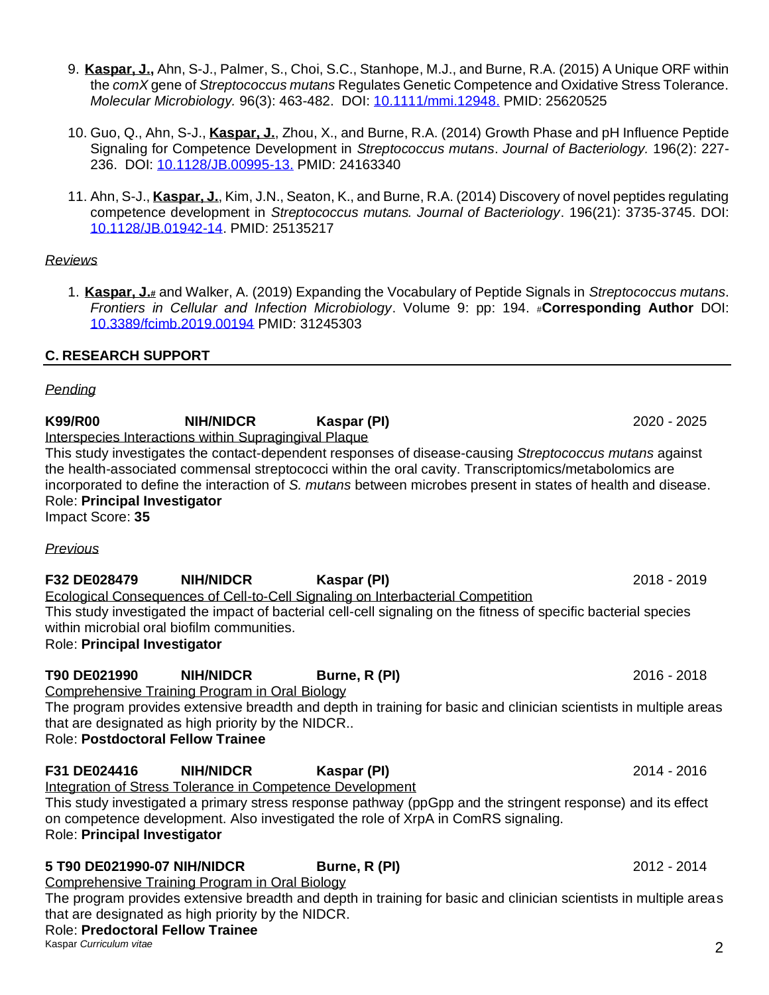on competence development. Also investigated the role of XrpA in ComRS signaling. Role: **Principal Investigator**

# **5 T90 DE021990-07 NIH/NIDCR Burne, R (PI)** 2012 - 2014

Comprehensive Training Program in Oral Biology

The program provides extensive breadth and depth in training for basic and clinician scientists in multiple areas that are designated as high priority by the NIDCR.

# Role: **Predoctoral Fellow Trainee**

Kaspar *Curriculum vitae* 2

- 9. **Kaspar, J.,** Ahn, S-J., Palmer, S., Choi, S.C., Stanhope, M.J., and Burne, R.A. (2015) A Unique ORF within the *comX* gene of *Streptococcus mutans* Regulates Genetic Competence and Oxidative Stress Tolerance. *Molecular Microbiology.* 96(3): 463-482. DOI: [10.1111/mmi.12948.](https://dx.doi.org/10.1111%2Fmmi.12948) PMID: 25620525
- 10. Guo, Q., Ahn, S-J., **Kaspar, J.**, Zhou, X., and Burne, R.A. (2014) Growth Phase and pH Influence Peptide Signaling for Competence Development in *Streptococcus mutans*. *Journal of Bacteriology.* 196(2): 227- 236. DOI: [10.1128/JB.00995-13.](https://dx.doi.org/10.1128%2FJB.00995-13) PMID: 24163340
- 11. Ahn, S-J., **Kaspar, J.**, Kim, J.N., Seaton, K., and Burne, R.A. (2014) Discovery of novel peptides regulating competence development in *Streptococcus mutans. Journal of Bacteriology*. 196(21): 3735-3745. DOI: [10.1128/JB.01942-14.](https://dx.doi.org/10.1128%2FJB.01942-14) PMID: 25135217

### *Reviews*

1. **Kaspar, J.#** and Walker, A. (2019) Expanding the Vocabulary of Peptide Signals in *Streptococcus mutans*. *Frontiers in Cellular and Infection Microbiology*. Volume 9: pp: 194. #**Corresponding Author** DOI: [10.3389/fcimb.2019.00194](https://www.frontiersin.org/articles/10.3389/fcimb.2019.00194/abstract) PMID: 31245303

# **C. RESEARCH SUPPORT**

# *Pending*

# **K99/R00 NIH/NIDCR Kaspar (PI)** 2020 - 2025

Interspecies Interactions within Supragingival Plaque

This study investigates the contact-dependent responses of disease-causing *Streptococcus mutans* against the health-associated commensal streptococci within the oral cavity. Transcriptomics/metabolomics are incorporated to define the interaction of *S. mutans* between microbes present in states of health and disease. Role: **Principal Investigator**

Impact Score: **35**

# *Previous*

# **F32 DE028479 NIH/NIDCR Kaspar (PI)** 2018 - 2019 Ecological Consequences of Cell-to-Cell Signaling on Interbacterial Competition This study investigated the impact of bacterial cell-cell signaling on the fitness of specific bacterial species within microbial oral biofilm communities. Role: **Principal Investigator**

# **T90 DE021990 NIH/NIDCR Burne, R (PI)** 2016 - 2018

Comprehensive Training Program in Oral Biology

The program provides extensive breadth and depth in training for basic and clinician scientists in multiple areas that are designated as high priority by the NIDCR..

This study investigated a primary stress response pathway (ppGpp and the stringent response) and its effect

Role: **Postdoctoral Fellow Trainee**

#### **F31 DE024416 NIH/NIDCR Kaspar (PI)** 2014 - 2016 Integration of Stress Tolerance in Competence Development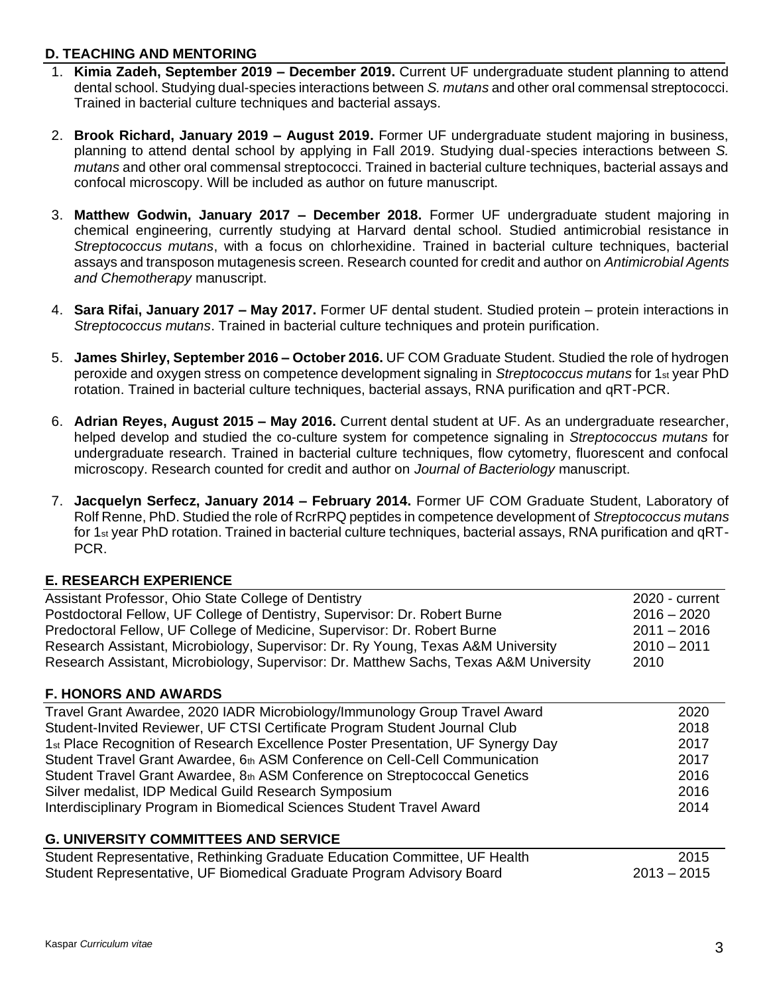### **D. TEACHING AND MENTORING**

- 1. **Kimia Zadeh, September 2019 – December 2019.** Current UF undergraduate student planning to attend dental school. Studying dual-species interactions between *S. mutans* and other oral commensal streptococci. Trained in bacterial culture techniques and bacterial assays.
- 2. **Brook Richard, January 2019 – August 2019.** Former UF undergraduate student majoring in business, planning to attend dental school by applying in Fall 2019. Studying dual-species interactions between *S. mutans* and other oral commensal streptococci. Trained in bacterial culture techniques, bacterial assays and confocal microscopy. Will be included as author on future manuscript.
- 3. **Matthew Godwin, January 2017 – December 2018.** Former UF undergraduate student majoring in chemical engineering, currently studying at Harvard dental school. Studied antimicrobial resistance in *Streptococcus mutans*, with a focus on chlorhexidine. Trained in bacterial culture techniques, bacterial assays and transposon mutagenesis screen. Research counted for credit and author on *Antimicrobial Agents and Chemotherapy* manuscript.
- 4. **Sara Rifai, January 2017 – May 2017.** Former UF dental student. Studied protein protein interactions in *Streptococcus mutans*. Trained in bacterial culture techniques and protein purification.
- 5. **James Shirley, September 2016 – October 2016.** UF COM Graduate Student. Studied the role of hydrogen peroxide and oxygen stress on competence development signaling in *Streptococcus mutans* for 1st year PhD rotation. Trained in bacterial culture techniques, bacterial assays, RNA purification and qRT-PCR.
- 6. **Adrian Reyes, August 2015 – May 2016.** Current dental student at UF. As an undergraduate researcher, helped develop and studied the co-culture system for competence signaling in *Streptococcus mutans* for undergraduate research. Trained in bacterial culture techniques, flow cytometry, fluorescent and confocal microscopy. Research counted for credit and author on *Journal of Bacteriology* manuscript.
- 7. **Jacquelyn Serfecz, January 2014 – February 2014.** Former UF COM Graduate Student, Laboratory of Rolf Renne, PhD. Studied the role of RcrRPQ peptides in competence development of *Streptococcus mutans* for 1st year PhD rotation. Trained in bacterial culture techniques, bacterial assays, RNA purification and qRT-PCR.

### **E. RESEARCH EXPERIENCE**

| Assistant Professor, Ohio State College of Dentistry                                         | 2020 - current |
|----------------------------------------------------------------------------------------------|----------------|
| Postdoctoral Fellow, UF College of Dentistry, Supervisor: Dr. Robert Burne                   | $2016 - 2020$  |
| Predoctoral Fellow, UF College of Medicine, Supervisor: Dr. Robert Burne                     | $2011 - 2016$  |
| Research Assistant, Microbiology, Supervisor: Dr. Ry Young, Texas A&M University             | $2010 - 2011$  |
| Research Assistant, Microbiology, Supervisor: Dr. Matthew Sachs, Texas A&M University        | 2010           |
| <b>F. HONORS AND AWARDS</b>                                                                  |                |
| Travel Grant Awardee, 2020 IADR Microbiology/Immunology Group Travel Award                   | 2020           |
| Student-Invited Reviewer, UF CTSI Certificate Program Student Journal Club                   | 2018           |
| 1 <sub>st</sub> Place Recognition of Research Excellence Poster Presentation, UF Synergy Day | 2017           |
| Student Travel Grant Awardee, 6th ASM Conference on Cell-Cell Communication                  | 2017           |
| Student Travel Grant Awardee, 8th ASM Conference on Streptococcal Genetics                   | 2016           |
| Silver medalist, IDP Medical Guild Research Symposium                                        | 2016           |
| Interdisciplinary Program in Biomedical Sciences Student Travel Award                        | 2014           |
| <b>G. UNIVERSITY COMMITTEES AND SERVICE</b>                                                  |                |
| Student Representative, Rethinking Graduate Education Committee, UF Health                   | 2015           |
| Student Representative, UF Biomedical Graduate Program Advisory Board                        | $2013 - 2015$  |